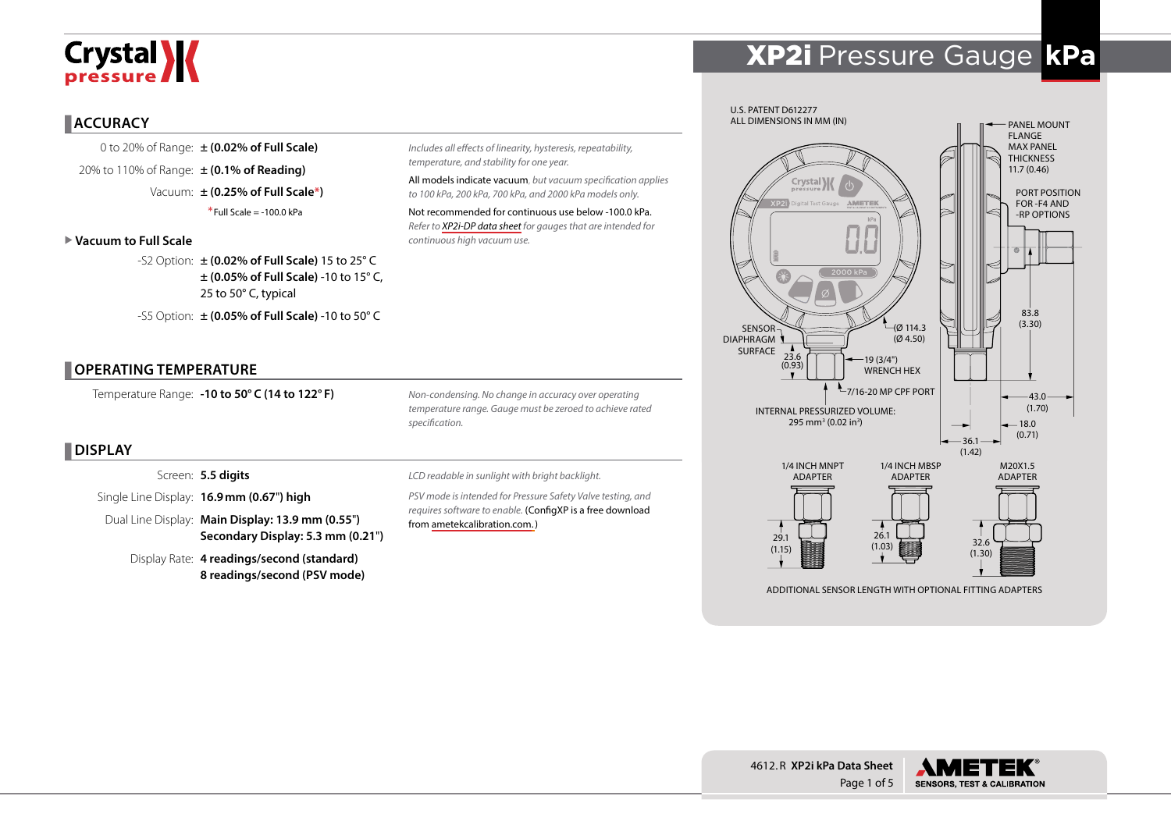# Crystal **X**

## XP2i Pressure Gauge **kPa**

#### **ACCURACY**

0 to 20% of Range: **± (0.02% of Full Scale)** 20% to 110% of Range: **± (0.1% of Reading)** Vacuum: **± (0.25% of Full Scale\*)** \*Full Scale = -100.0 kPa

#### X **Vacuum to Full Scale**

-S2 Option: **± (0.02% of Full Scale)** 15 to 25° C **± (0.05% of Full Scale)** -10 to 15° C, 25 to 50° C, typical -S5 Option: **± (0.05% of Full Scale)** -10 to 50° C

**OPERATING TEMPERATURE**

Temperature Range: **-10 to 50° C (14 to 122° F)**

*Non-condensing. No change in accuracy over operating temperature range. Gauge must be zeroed to achieve rated specification.*

*Includes all effects of linearity, hysteresis, repeatability,* 

All models indicate vacuum, *but vacuum specification applies to 100 kPa, 200 kPa, 700 kPa, and 2000 kPa models only.* Not recommended for continuous use below -100.0 kPa. *Refer to [XP2i-DP data sheet](http://www.ametekcalibration.com/products/pressure/digital-pressure-gauges/xp2i-dp-differential-pressure-gauge) for gauges that are intended for* 

*temperature, and stability for one year.*

*continuous high vacuum use.* 

### **DISPLAY**

Screen: **5.5 digits**

Single Line Display: **16.9mm (0.67**"**) high**

Dual Line Display: **Main Display: 13.9 mm (0.55**"**) Secondary Display: 5.3 mm (0.21**"**)**

Display Rate: **4 readings/second (standard) 8 readings/second (PSV mode)** *LCD readable in sunlight with bright backlight.*

*PSV mode is intended for Pressure Safety Valve testing, and requires software to enable.* (ConfigXP is a free download from [ametekcalibration.com.\)](http://www.ametekcalibration.com/products/software/configuration-software/configxp-configuration-software)



ADDITIONAL SENSOR LENGTH WITH OPTIONAL FITTING ADAPTERS



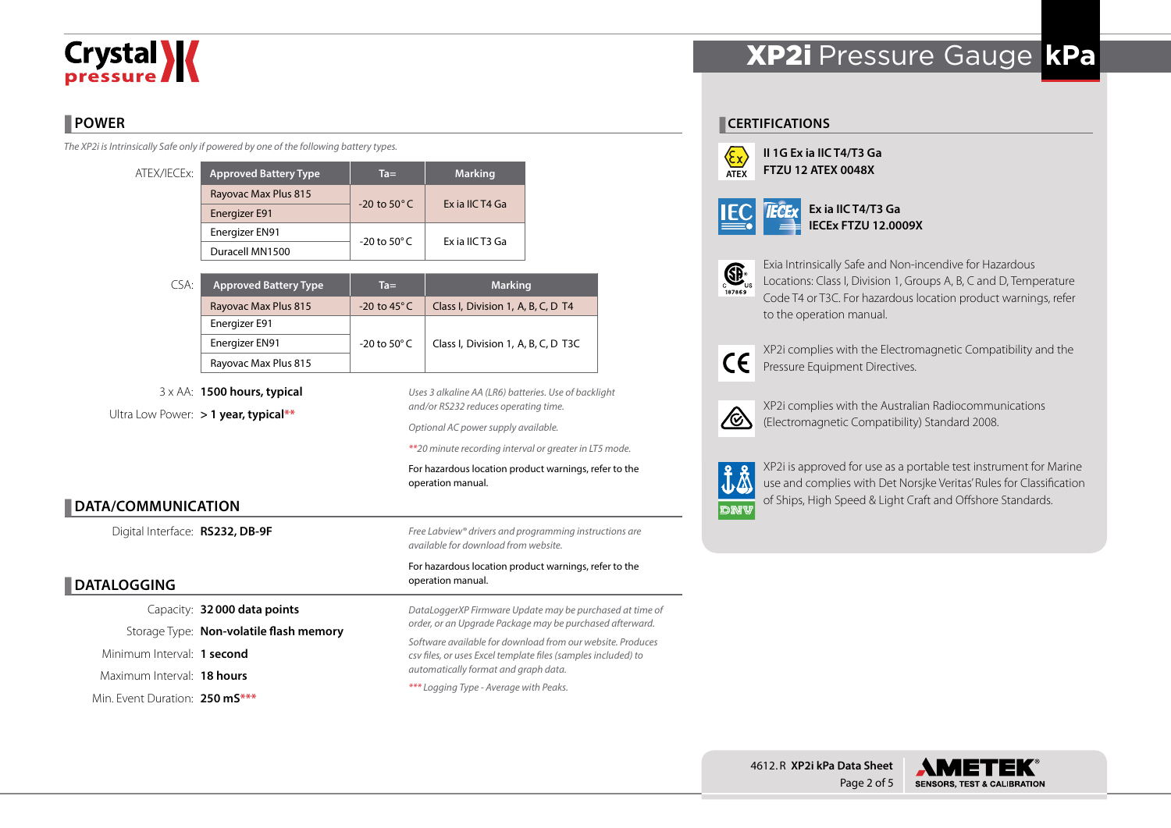# **Crystal >>>>**

## **POWER**

*The XP2i is Intrinsically Safe only if powered by one of the following battery types.*

| ATEX/IECEx: | <b>Approved Battery Type</b> | $Ta =$                   | <b>Marking</b>  |  |
|-------------|------------------------------|--------------------------|-----------------|--|
|             | Rayovac Max Plus 815         | $-20$ to $50^{\circ}$ C  | Ex ia IIC T4 Ga |  |
|             | Energizer E91                |                          |                 |  |
|             | Energizer EN91               | $-20$ to 50 $^{\circ}$ C | Ex ia IIC T3 Ga |  |
|             | Duracell MN1500              |                          |                 |  |

| CSA: | <b>Approved Battery Type</b> | $Ta =$                  | <b>Marking</b>                      |  |  |
|------|------------------------------|-------------------------|-------------------------------------|--|--|
|      | Rayovac Max Plus 815         | $-20$ to 45 $\degree$ C | Class I, Division 1, A, B, C, D T4  |  |  |
|      | Energizer E91                |                         |                                     |  |  |
|      | Energizer EN91               | -20 to 50 $^{\circ}$ C  | Class I, Division 1, A, B, C, D T3C |  |  |
|      | Rayovac Max Plus 815         |                         |                                     |  |  |

3 x AA: **1500 hours, typical** Ultra Low Power: **> 1 year, typical\*\***

*Uses 3 alkaline AA (LR6) batteries. Use of backlight and/or RS232 reduces operating time.*

*Optional AC power supply available.*

*\*\*20 minute recording interval or greater in LT5 mode.*

For hazardous location product warnings, refer to the operation manual.

### **DATA/COMMUNICATION**

Digital Interface: **RS232, DB-9F**

### **DATALOGGING**

Capacity: **32000 data points** Storage Type: **Non-volatile flash memory** Minimum Interval: **1 second** Maximum Interval: **18 hours** Min. Event Duration: **250 mS\*\*\***

*Free Labview® drivers and programming instructions are available for download from website.*

#### For hazardous location product warnings, refer to the operation manual.

*DataLoggerXP Firmware Update may be purchased at time of order, or an Upgrade Package may be purchased afterward. Software available for download from our website. Produces csv files, or uses Excel template files (samples included) to automatically format and graph data. \*\*\* Logging Type - Average with Peaks.*

## XP2i Pressure Gauge **kPa**

#### **CERTIFICATIONS**



**II 1G Ex ia IIC T4/T3 Ga FTZU 12 ATEX 0048X**

|--|

**Ex ia IIC T4/T3 Ga IECEx FTZU 12.0009X**



Exia Intrinsically Safe and Non-incendive for Hazardous Locations: Class I, Division 1, Groups A, B, C and D, Temperature Code T4 or T3C. For hazardous location product warnings, refer to the operation manual.



XP2i complies with the Electromagnetic Compatibility and the Pressure Equipment Directives.



XP2i complies with the Australian Radiocommunications (Electromagnetic Compatibility) Standard 2008.



XP2i is approved for use as a portable test instrument for Marine use and complies with Det Norsjke Veritas' Rules for Classification of Ships, High Speed & Light Craft and Offshore Standards.



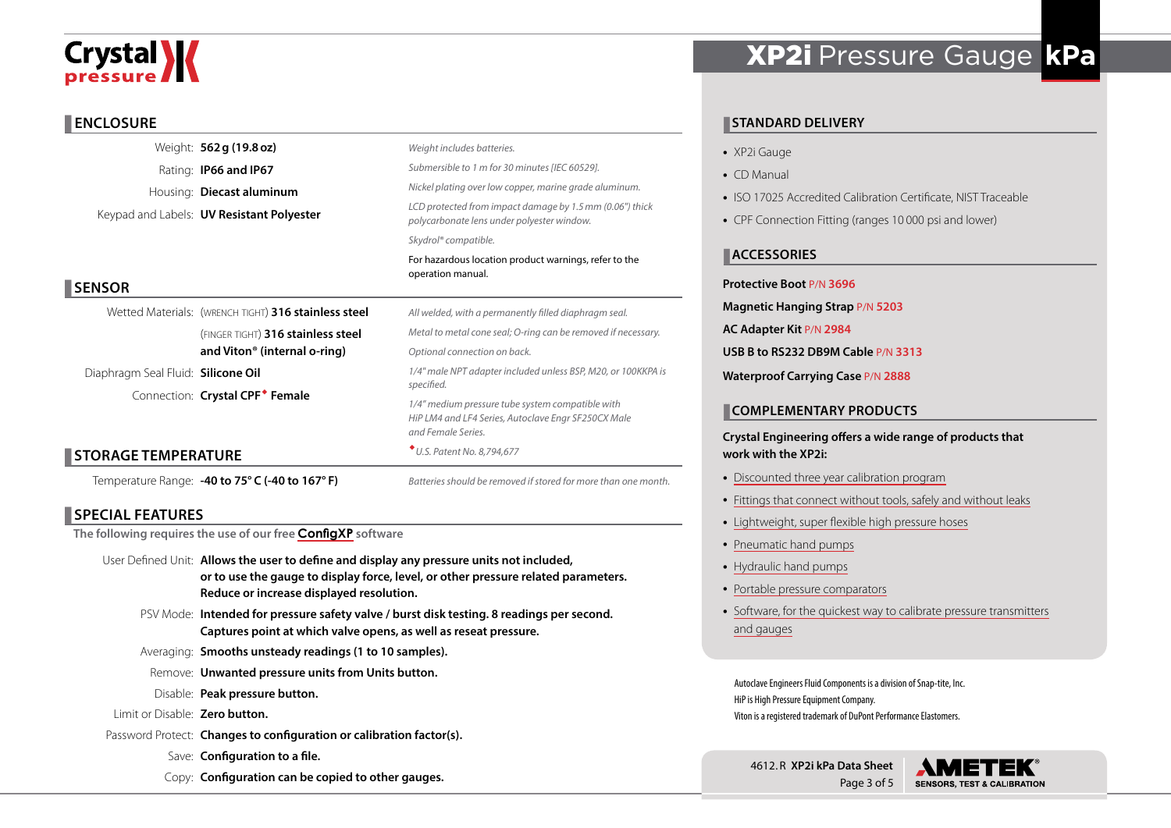# **Crystal \/**

#### **ENCLOSURE**

|                                    | Weight: 562 g (19.8 oz)                              | Weight includes batteries.                                                                                                    |  |  |  |  |
|------------------------------------|------------------------------------------------------|-------------------------------------------------------------------------------------------------------------------------------|--|--|--|--|
|                                    | Rating: <b>IP66 and IP67</b>                         | Submersible to 1 m for 30 minutes [IEC 60529].                                                                                |  |  |  |  |
|                                    | Housing: Diecast aluminum                            | Nickel plating over low copper, marine grade aluminum.                                                                        |  |  |  |  |
|                                    | Keypad and Labels: <b>UV Resistant Polyester</b>     | LCD protected from impact damage by 1.5 mm (0.06") thick<br>polycarbonate lens under polyester window.                        |  |  |  |  |
|                                    |                                                      | Skydrol® compatible.                                                                                                          |  |  |  |  |
|                                    |                                                      | For hazardous location product warnings, refer to the<br>operation manual.                                                    |  |  |  |  |
| <b>SENSOR</b>                      |                                                      |                                                                                                                               |  |  |  |  |
|                                    | Wetted Materials: (WRENCH TIGHT) 316 stainless steel | All welded, with a permanently filled diaphragm seal.                                                                         |  |  |  |  |
|                                    | (FINGER TIGHT) 316 stainless steel                   | Metal to metal cone seal; O-ring can be removed if necessary.                                                                 |  |  |  |  |
|                                    | and Viton <sup>®</sup> (internal o-ring)             | Optional connection on back.                                                                                                  |  |  |  |  |
| Diaphragm Seal Fluid: Silicone Oil |                                                      | 1/4" male NPT adapter included unless BSP, M20, or 100KKPA is<br>specified.                                                   |  |  |  |  |
|                                    | Connection: Crystal CPF <sup>*</sup> Female          |                                                                                                                               |  |  |  |  |
|                                    |                                                      | 1/4" medium pressure tube system compatible with<br>HiP LM4 and LF4 Series, Autoclave Engr SF250CX Male<br>and Female Series. |  |  |  |  |
| <b>STORAGE TEMPERATURE</b>         |                                                      | * U.S. Patent No. 8,794,677                                                                                                   |  |  |  |  |
|                                    | Temperature Range: -40 to 75° C (-40 to 167° F)      | Batteries should be removed if stored for more than one month.                                                                |  |  |  |  |

#### **SPECIAL FEATURES**

**The following requires the use of our free [ConfigXP](http://www.ametekcalibration.com/products/software/configuration-software/configxp-configuration-software) software**

- User Defined Unit: **Allows the user to define and display any pressure units not included, or to use the gauge to display force, level, or other pressure related parameters. Reduce or increase displayed resolution.**
	- PSV Mode: **Intended for pressure safety valve / burst disk testing. 8 readings per second. Captures point at which valve opens, as well as reseat pressure.**
	- Averaging: **Smooths unsteady readings (1 to 10 samples).**
	- Remove: **Unwanted pressure units from Units button.**
	- Disable: **Peak pressure button.**
- Limit or Disable: **Zero button.**
- Password Protect: **Changes to configuration or calibration factor(s).**
	- Save: **Configuration to a file.**
	- Copy: **Configuration can be copied to other gauges.**

## XP2i Pressure Gauge **kPa**

### **STANDARD DELIVERY**

- XP2i Gauge
- CD Manual
- ISO 17025 Accredited Calibration Certificate, NIST Traceable
- CPF Connection Fitting (ranges 10 000 psi and lower)

#### **ACCESSORIES**

#### **Protective Boot** P/N **3696**

- **Magnetic Hanging Strap** P/N **5203**
- **AC Adapter Kit** P/N **2984**
- **USB B to RS232 DB9M Cable** P/N **3313**
- **Waterproof Carrying Case** P/N **2888**

#### **COMPLEMENTARY PRODUCTS**

#### **Crystal Engineering offers a wide range of products that work with the XP2i:**

- [Discounted three year calibration program](http://www.ametekcalibration.com/-/media/ametekcalibration/download_links/pressure/xp2i/ametekcal%20flyer.pdf)
- [Fittings that connect without tools, safely and without leaks](http://www.ametekcalibration.com/products/pump-systems/pressure-fittings/cpf-crystal-pressure-fittings)
- [Lightweight, super flexible high pressure hoses](http://www.ametekcalibration.com/products/pump-systems/pressure-fittings/cpf-crystal-pressure-fittings)
- [Pneumatic hand pumps](http://www.ametekcalibration.com/products/pump-systems/pneumatic-hand-pumps/t-900-series-pneumatic-hand-pump)
- [Hydraulic hand pumps](http://www.ametekcalibration.com/products/pump-systems/hydraulic-hand-pumps/t-600-series-hydraulic-hand-pump)
- [Portable pressure comparators](http://www.ametekcalibration.com/products/pump-systems/pressure-comparators)
- [Software, for the quickest way to calibrate pressure transmitters](http://www.ametekcalibration.com/products/software/calibration-software/fastcalxp-calibration-software) [and gauges](http://www.ametekcalibration.com/products/software/calibration-software/fastcalxp-calibration-software)

Autoclave Engineers Fluid Components is a division of Snap-tite, Inc. HiP is High Pressure Equipment Company. Viton is a registered trademark of DuPont Performance Elastomers.

4612. R **XP2i kPa Data Sheet** Page 3 of 5

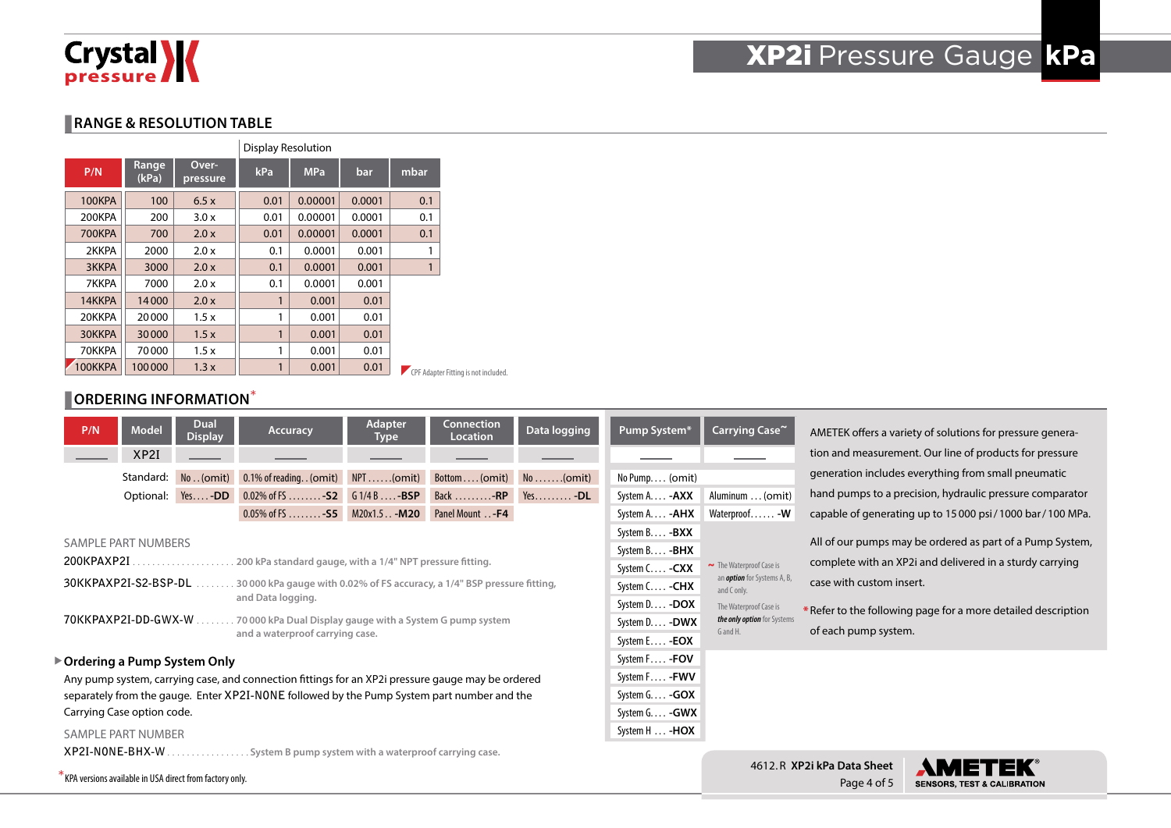# Crystal X

# XP2i Pressure Gauge **kPa**

Page 4 of 5

**SENSORS, TEST & CALIBRATION** 

#### **RANGE & RESOLUTION TABLE**

|               |                |                   | <b>Display Resolution</b> |         |        |              |                                      |
|---------------|----------------|-------------------|---------------------------|---------|--------|--------------|--------------------------------------|
| P/N           | Range<br>(kPa) | Over-<br>pressure | kPa<br><b>MPa</b>         |         | bar    | mbar         |                                      |
| 100KPA        | 100            | 6.5x              | 0.01                      | 0.00001 | 0.0001 | 0.1          |                                      |
| 200KPA        | 200            | 3.0x              | 0.01                      | 0.00001 | 0.0001 | 0.1          |                                      |
| <b>700KPA</b> | 700            | 2.0x              | 0.01                      | 0.00001 | 0.0001 | 0.1          |                                      |
| 2KKPA         | 2000           | 2.0x              | 0.1                       | 0.0001  | 0.001  | 1            |                                      |
| <b>3KKPA</b>  | 3000           | 2.0x              | 0.1                       | 0.0001  | 0.001  | $\mathbf{1}$ |                                      |
| 7KKPA         | 7000           | 2.0 x             | 0.1                       | 0.0001  | 0.001  |              |                                      |
| 14KKPA        | 14000          | 2.0x              | 1                         | 0.001   | 0.01   |              |                                      |
| 20KKPA        | 20000          | 1.5x              | 1                         | 0.001   | 0.01   |              |                                      |
| 30KKPA        | 30000          | 1.5x              | 1                         | 0.001   | 0.01   |              |                                      |
| 70KKPA        | 70000          | 1.5x              | 1                         | 0.001   | 0.01   |              |                                      |
| OOKKPA        | 100000         | 1.3x              | 1                         | 0.001   | 0.01   |              | CPF Adapter Fitting is not included. |

#### **ORDERING INFORMATION**\*

| P/N                                                                                                                 | <b>Model</b>         | Dual<br><b>Display</b>        | Accuracy                                                                                          | Adapter<br><b>Type</b> | Connection<br><b>Location</b> | Data logging          | Pump System*                | Carrying Case~                                    |                                                                                                                                                   | AMETEK offers a variety of solutions for pressure genera- |  |
|---------------------------------------------------------------------------------------------------------------------|----------------------|-------------------------------|---------------------------------------------------------------------------------------------------|------------------------|-------------------------------|-----------------------|-----------------------------|---------------------------------------------------|---------------------------------------------------------------------------------------------------------------------------------------------------|-----------------------------------------------------------|--|
|                                                                                                                     | XP2I                 |                               |                                                                                                   |                        |                               |                       |                             |                                                   |                                                                                                                                                   | tion and measurement. Our line of products for pressure   |  |
|                                                                                                                     | Standard:            | No. (omit)                    | 0.1% of reading. . (omit) NPT (omit)                                                              |                        | $Bottom (omit)$ No (omit)     |                       | $No$ Pump $(omit)$          |                                                   |                                                                                                                                                   | generation includes everything from small pneumatic       |  |
|                                                                                                                     |                      | Optional: Yes-DD              | 0.02% of FS  - $52$ G 1/4 B  - BSP                                                                |                        | Back $\dots \dots -RP$        | $Yes. -DL$            | System A. <b>-AXX</b>       | Aluminum  (omit)                                  |                                                                                                                                                   | hand pumps to a precision, hydraulic pressure comparator  |  |
|                                                                                                                     |                      |                               | $0.05\%$ of FS - S5 M20x1.5. . - M20                                                              |                        | Panel Mount - F4              |                       | System A. - <b>AHX</b>      | Waterproof - W                                    |                                                                                                                                                   | capable of generating up to 15000 psi/1000 bar/100 MPa.   |  |
|                                                                                                                     |                      |                               |                                                                                                   |                        |                               |                       | System B - <b>BXX</b>       |                                                   |                                                                                                                                                   |                                                           |  |
|                                                                                                                     | SAMPLE PART NUMBERS  |                               |                                                                                                   |                        |                               |                       | System B - <b>BHX</b>       |                                                   | All of our pumps may be ordered as part of a Pump System,<br>complete with an XP2i and delivered in a sturdy carrying<br>case with custom insert. |                                                           |  |
| 200KPAXP2I                                                                                                          |                      | .                             | . 200 kPa standard gauge, with a 1/4" NPT pressure fitting.                                       |                        |                               |                       | System C - CXX              | $\sim$ The Waterproof Case is                     |                                                                                                                                                   |                                                           |  |
|                                                                                                                     | 30KKPAXP2I-S2-BSP-DL |                               | . 30 000 kPa gauge with 0.02% of FS accuracy, a 1/4" BSP pressure fitting,                        |                        |                               |                       | System C - CHX              | an <i>option</i> for Systems A, B,<br>and C only. |                                                                                                                                                   |                                                           |  |
| and Data logging.                                                                                                   |                      |                               |                                                                                                   |                        |                               |                       | System D - DOX              | The Waterproof Case is                            | * Refer to the following page for a more detailed description                                                                                     |                                                           |  |
| 70KKPAXP2I-DD-GWX-W<br>.70000 kPa Dual Display gauge with a System G pump system<br>and a waterproof carrying case. |                      |                               |                                                                                                   |                        |                               | System D - DWX        | the only option for Systems |                                                   |                                                                                                                                                   |                                                           |  |
|                                                                                                                     |                      |                               |                                                                                                   |                        |                               | System E - <b>EOX</b> | G and H.                    | of each pump system.                              |                                                                                                                                                   |                                                           |  |
|                                                                                                                     |                      | ▶ Ordering a Pump System Only |                                                                                                   |                        |                               |                       | System F - FOV              |                                                   |                                                                                                                                                   |                                                           |  |
|                                                                                                                     |                      |                               | Any pump system, carrying case, and connection fittings for an XP2i pressure gauge may be ordered |                        |                               |                       | System F - FWV              |                                                   |                                                                                                                                                   |                                                           |  |
| separately from the gauge. Enter XP2I-NONE followed by the Pump System part number and the                          |                      |                               |                                                                                                   |                        | System $G. \ldots -GOX$       |                       |                             |                                                   |                                                                                                                                                   |                                                           |  |
| Carrying Case option code.                                                                                          |                      |                               |                                                                                                   |                        |                               | System G - GWX        |                             |                                                   |                                                                                                                                                   |                                                           |  |
| <b>SAMPLE PART NUMBER</b>                                                                                           |                      |                               |                                                                                                   |                        |                               |                       | System H  - <b>HOX</b>      |                                                   |                                                                                                                                                   |                                                           |  |
| XP2I-NONE-BHX-W.<br>System B pump system with a waterproof carrying case.                                           |                      |                               |                                                                                                   |                        |                               |                       |                             |                                                   |                                                                                                                                                   |                                                           |  |
| KPA versions available in USA direct from factory only.                                                             |                      |                               |                                                                                                   |                        |                               |                       |                             |                                                   | 4612.R XP2i kPa Data Sheet<br>$D \cap \cap \cap A \cap F$                                                                                         | CENCODE TEST & CALIBDATION                                |  |